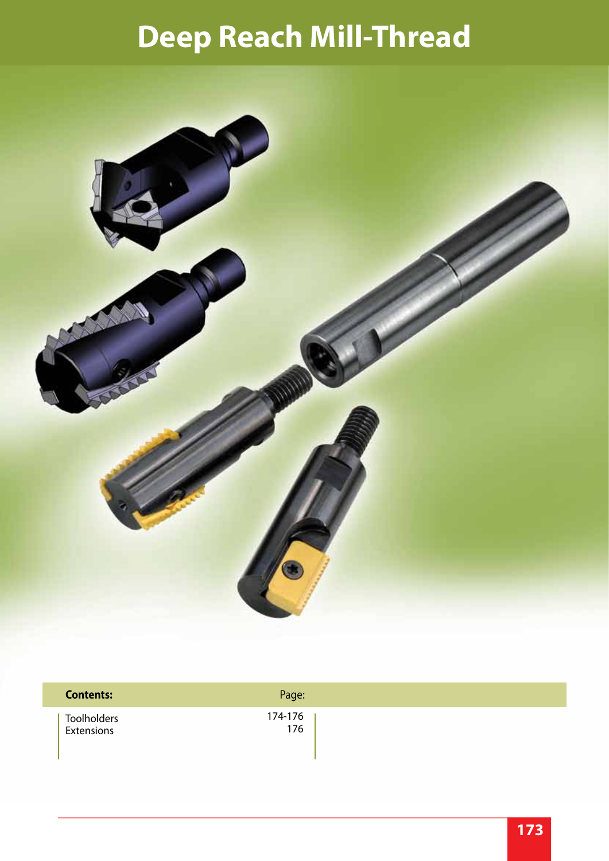# **Deep Reach Mill-Thread**



| <b>Contents:</b> | Page:   |
|------------------|---------|
| Toolholders      | 174-176 |
| Extensions       | 176     |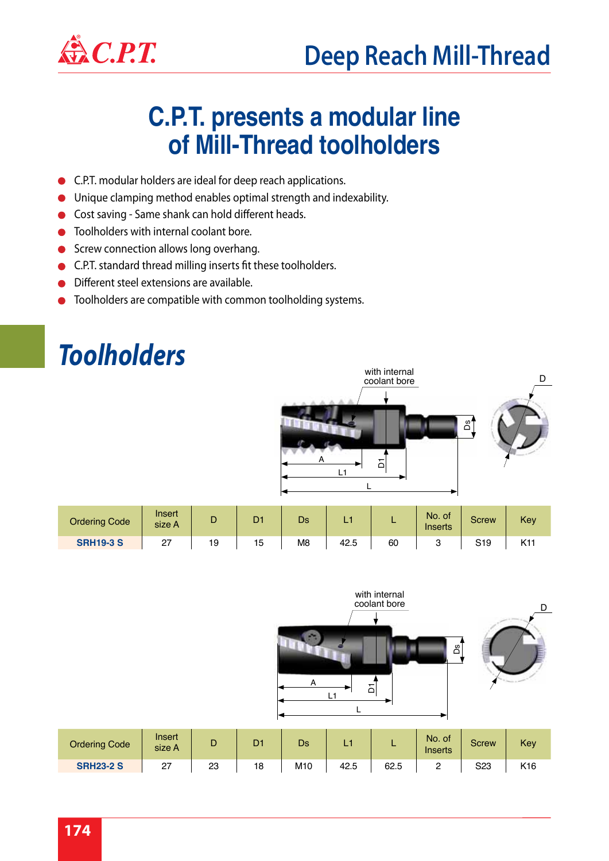

#### **C.P.T. presents a modular line of Mill-Thread toolholders**

- $\bullet$ C.P.T. modular holders are ideal for deep reach applications.
- Unique clamping method enables optimal strength and indexability.  $\bullet$
- Cost saving Same shank can hold different heads.  $\bullet$
- Toolholders with internal coolant bore.  $\bullet$
- Screw connection allows long overhang.  $\bullet$
- C.P.T. standard thread milling inserts fit these toolholders.  $\bullet$
- Different steel extensions are available.
- Toolholders are compatible with common toolholding systems.

### *Toolholders*



| <b><i><u>Jrdering Code</u></i></b> | Insert<br>size A |    |    | Ds             | . .  |    | No. of<br>Inserts | Screw | Key |
|------------------------------------|------------------|----|----|----------------|------|----|-------------------|-------|-----|
| <b>SRH19-3 S</b>                   | $\epsilon$       | 19 | 15 | M <sub>8</sub> | 42.5 | 60 |                   | S19   | .   |

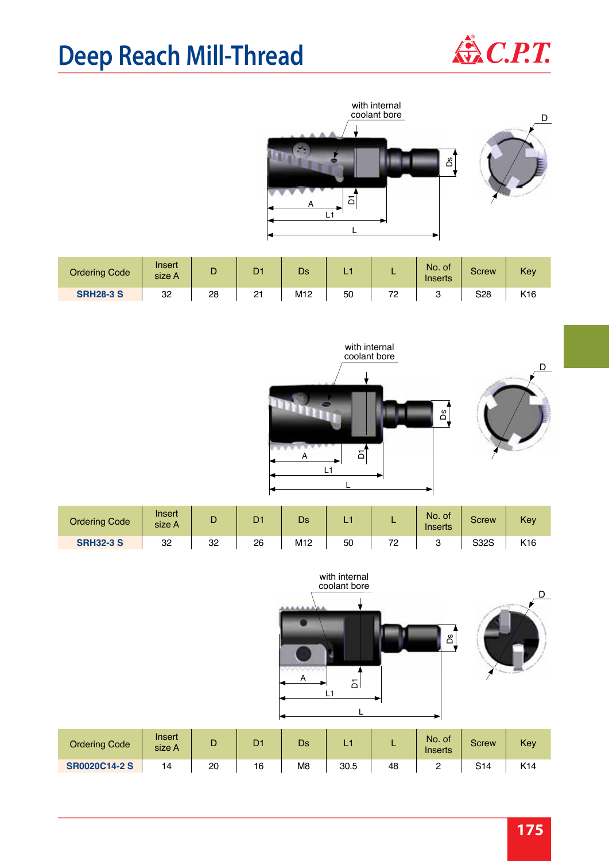### **Deep Reach Mill-Thread**



D



| <b>Ordering Code</b> | Inser<br>size A | ◡  | <b>TOM</b><br>◡ | Ds              | L., | . .     | No. of<br>Inserts | Screw | Key |
|----------------------|-----------------|----|-----------------|-----------------|-----|---------|-------------------|-------|-----|
| <b>SRH28-3 S</b>     | 32              | 28 | 2 <sup>1</sup>  | M <sub>12</sub> | 50  | 70<br>- | ບ                 | S28   | K16 |





| <b>Ordering Code</b> | Insert<br>size A | ш  | D. | Ds              |    | . .       | No. of<br>Inserts | Screw | Key             |
|----------------------|------------------|----|----|-----------------|----|-----------|-------------------|-------|-----------------|
| <b>SRH32-3 S</b>     | 32               | 32 | 26 | M <sub>12</sub> | 50 | 70<br>. . |                   | S32S  | K <sub>16</sub> |